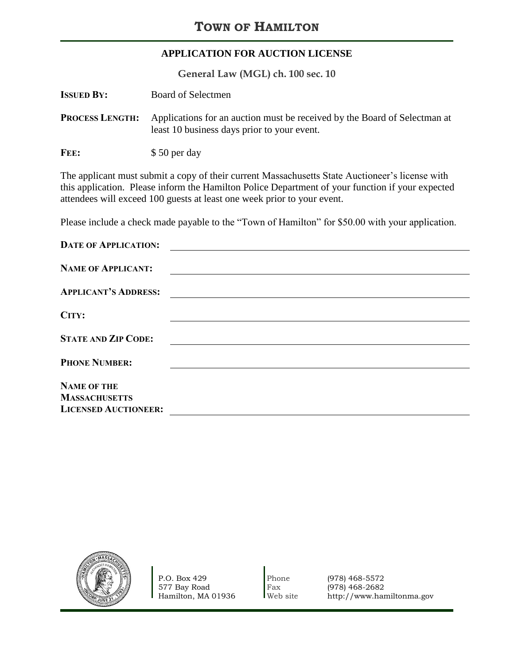## **APPLICATION FOR AUCTION LICENSE**

**General Law (MGL) ch. 100 sec. 10**

| <b>ISSUED BY:</b>      | Board of Selectmen                                                                                                       |
|------------------------|--------------------------------------------------------------------------------------------------------------------------|
| <b>PROCESS LENGTH:</b> | Applications for an auction must be received by the Board of Selectman at<br>least 10 business days prior to your event. |
| FEE:                   | \$50 per day                                                                                                             |

The applicant must submit a copy of their current Massachusetts State Auctioneer's license with this application. Please inform the Hamilton Police Department of your function if your expected attendees will exceed 100 guests at least one week prior to your event.

Please include a check made payable to the "Town of Hamilton" for \$50.00 with your application.

| <b>DATE OF APPLICATION:</b> |  |
|-----------------------------|--|
| <b>NAME OF APPLICANT:</b>   |  |
| <b>APPLICANT'S ADDRESS:</b> |  |
| CITY:                       |  |
| <b>STATE AND ZIP CODE:</b>  |  |
| <b>PHONE NUMBER:</b>        |  |
| <b>NAME OF THE</b>          |  |
| <b>MASSACHUSETTS</b>        |  |
| <b>LICENSED AUCTIONEER:</b> |  |